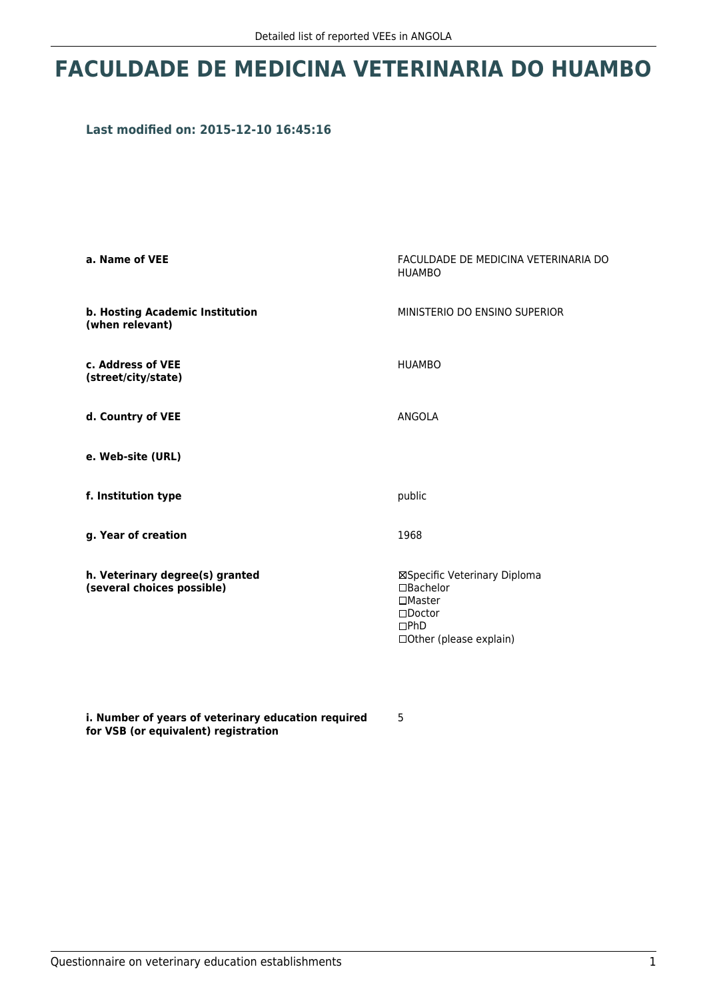## **FACULDADE DE MEDICINA VETERINARIA DO HUAMBO**

## **Last modified on: 2015-12-10 16:45:16**

| a. Name of VEE                                                | FACULDADE DE MEDICINA VETERINARIA DO<br><b>HUAMBO</b>                                                                          |  |
|---------------------------------------------------------------|--------------------------------------------------------------------------------------------------------------------------------|--|
| b. Hosting Academic Institution<br>(when relevant)            | MINISTERIO DO ENSINO SUPERIOR                                                                                                  |  |
| c. Address of VEE<br>(street/city/state)                      | <b>HUAMBO</b>                                                                                                                  |  |
| d. Country of VEE                                             | ANGOLA                                                                                                                         |  |
| e. Web-site (URL)                                             |                                                                                                                                |  |
| f. Institution type                                           | public                                                                                                                         |  |
| g. Year of creation                                           | 1968                                                                                                                           |  |
| h. Veterinary degree(s) granted<br>(several choices possible) | ⊠Specific Veterinary Diploma<br>$\Box$ Bachelor<br>$\Box$ Master<br>$\square$ Doctor<br>$\Box$ PhD<br>□ Other (please explain) |  |

**i. Number of years of veterinary education required for VSB (or equivalent) registration**

5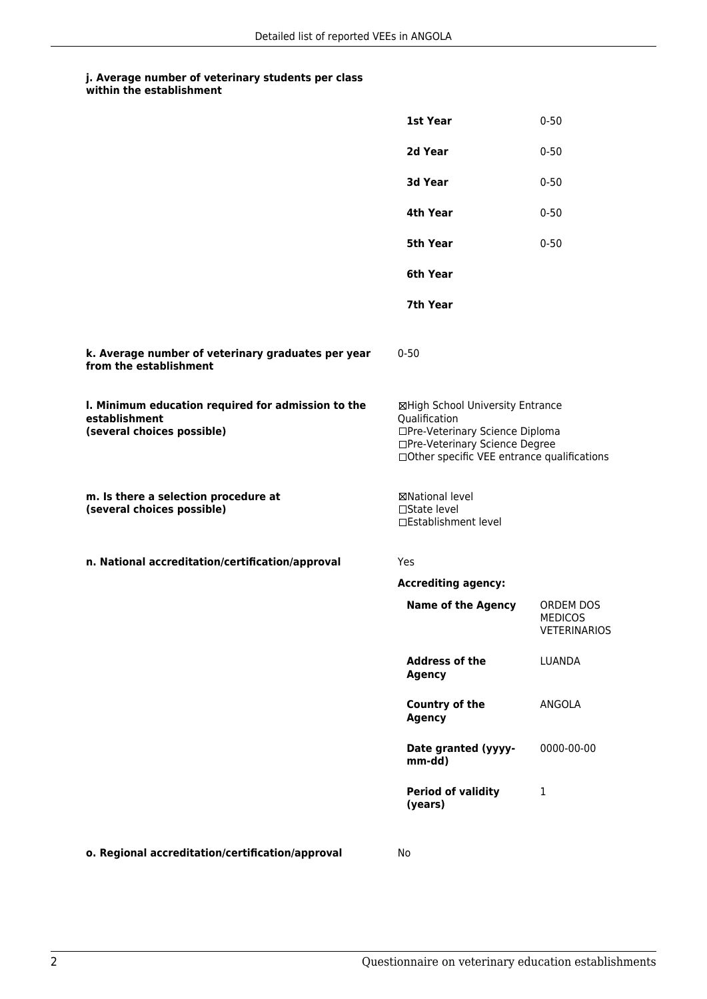## **j. Average number of veterinary students per class within the establishment**

|                                                                                                   | 1st Year                                                                                                                                                              | $0 - 50$                                           |
|---------------------------------------------------------------------------------------------------|-----------------------------------------------------------------------------------------------------------------------------------------------------------------------|----------------------------------------------------|
|                                                                                                   | 2d Year                                                                                                                                                               | $0 - 50$                                           |
|                                                                                                   | 3d Year                                                                                                                                                               | $0 - 50$                                           |
|                                                                                                   | 4th Year                                                                                                                                                              | $0 - 50$                                           |
|                                                                                                   | 5th Year                                                                                                                                                              | $0 - 50$                                           |
|                                                                                                   | 6th Year                                                                                                                                                              |                                                    |
|                                                                                                   | 7th Year                                                                                                                                                              |                                                    |
| k. Average number of veterinary graduates per year<br>from the establishment                      | $0 - 50$                                                                                                                                                              |                                                    |
| I. Minimum education required for admission to the<br>establishment<br>(several choices possible) | ⊠High School University Entrance<br>Qualification<br>□Pre-Veterinary Science Diploma<br>□Pre-Veterinary Science Degree<br>□Other specific VEE entrance qualifications |                                                    |
| m. Is there a selection procedure at<br>(several choices possible)                                | ⊠National level<br>$\Box$ State level<br>□Establishment level                                                                                                         |                                                    |
| n. National accreditation/certification/approval                                                  | Yes                                                                                                                                                                   |                                                    |
|                                                                                                   | <b>Accrediting agency:</b>                                                                                                                                            |                                                    |
|                                                                                                   | <b>Name of the Agency</b>                                                                                                                                             | ORDEM DOS<br><b>MEDICOS</b><br><b>VETERINARIOS</b> |
|                                                                                                   | <b>Address of the</b><br><b>Agency</b>                                                                                                                                | <b>LUANDA</b>                                      |
|                                                                                                   | <b>Country of the</b><br><b>Agency</b>                                                                                                                                | ANGOLA                                             |
|                                                                                                   | Date granted (yyyy-<br>mm-dd)                                                                                                                                         | 0000-00-00                                         |
|                                                                                                   | <b>Period of validity</b><br>(years)                                                                                                                                  | 1                                                  |
| o. Regional accreditation/certification/approval                                                  | No                                                                                                                                                                    |                                                    |